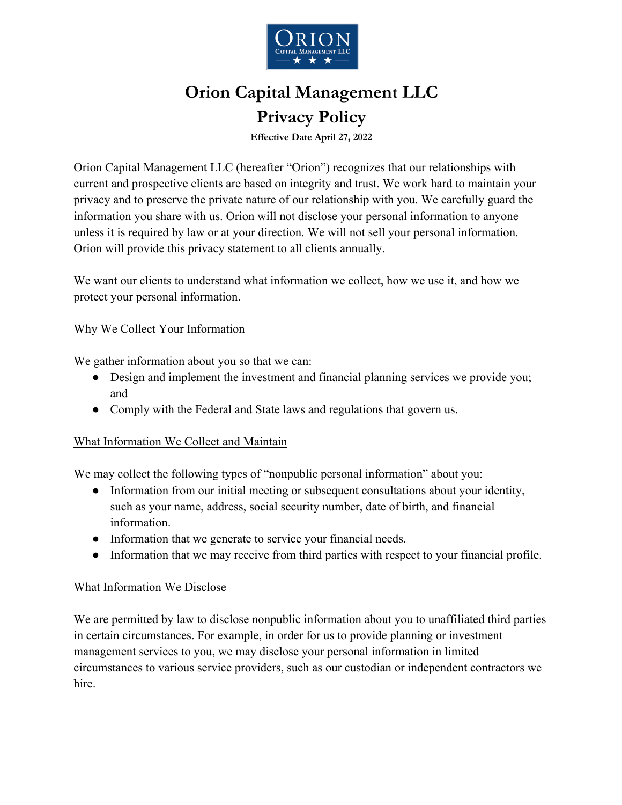

# **Orion Capital Management LLC Privacy Policy**

**Effective Date April 27, 2022**

Orion Capital Management LLC (hereafter "Orion") recognizes that our relationships with current and prospective clients are based on integrity and trust. We work hard to maintain your privacy and to preserve the private nature of our relationship with you. We carefully guard the information you share with us. Orion will not disclose your personal information to anyone unless it is required by law or at your direction. We will not sell your personal information. Orion will provide this privacy statement to all clients annually.

We want our clients to understand what information we collect, how we use it, and how we protect your personal information.

### Why We Collect Your Information

We gather information about you so that we can:

- Design and implement the investment and financial planning services we provide you; and
- Comply with the Federal and State laws and regulations that govern us.

### What Information We Collect and Maintain

We may collect the following types of "nonpublic personal information" about you:

- Information from our initial meeting or subsequent consultations about your identity, such as your name, address, social security number, date of birth, and financial information.
- Information that we generate to service your financial needs.
- Information that we may receive from third parties with respect to your financial profile.

### What Information We Disclose

We are permitted by law to disclose nonpublic information about you to unaffiliated third parties in certain circumstances. For example, in order for us to provide planning or investment management services to you, we may disclose your personal information in limited circumstances to various service providers, such as our custodian or independent contractors we hire.